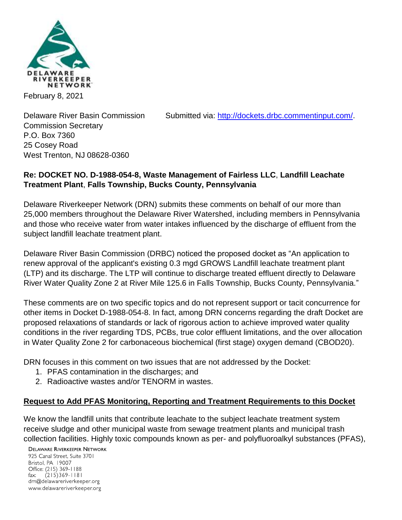

February 8, 2021

Delaware River Basin Commission Submitted via: [http://dockets.drbc.commentinput.com/.](http://dockets.drbc.commentinput.com/)

Commission Secretary P.O. Box 7360 25 Cosey Road West Trenton, NJ 08628-0360

## **Re: DOCKET NO. D-1988-054-8, Waste Management of Fairless LLC**, **Landfill Leachate Treatment Plant**, **Falls Township, Bucks County, Pennsylvania**

Delaware Riverkeeper Network (DRN) submits these comments on behalf of our more than 25,000 members throughout the Delaware River Watershed, including members in Pennsylvania and those who receive water from water intakes influenced by the discharge of effluent from the subject landfill leachate treatment plant.

Delaware River Basin Commission (DRBC) noticed the proposed docket as "An application to renew approval of the applicant's existing 0.3 mgd GROWS Landfill leachate treatment plant (LTP) and its discharge. The LTP will continue to discharge treated effluent directly to Delaware River Water Quality Zone 2 at River Mile 125.6 in Falls Township, Bucks County, Pennsylvania."

These comments are on two specific topics and do not represent support or tacit concurrence for other items in Docket D-1988-054-8. In fact, among DRN concerns regarding the draft Docket are proposed relaxations of standards or lack of rigorous action to achieve improved water quality conditions in the river regarding TDS, PCBs, true color effluent limitations, and the over allocation in Water Quality Zone 2 for carbonaceous biochemical (first stage) oxygen demand (CBOD20).

DRN focuses in this comment on two issues that are not addressed by the Docket:

- 1. PFAS contamination in the discharges; and
- 2. Radioactive wastes and/or TENORM in wastes.

#### **Request to Add PFAS Monitoring, Reporting and Treatment Requirements to this Docket**

We know the landfill units that contribute leachate to the subject leachate treatment system receive sludge and other municipal waste from sewage treatment plants and municipal trash collection facilities. Highly toxic compounds known as per- and polyfluoroalkyl substances (PFAS),

**DELAWARE RIVERKEEPER NETWORK** 

925 Canal Street, Suite 3701 Bristol, PA 19007 Office: (215) 369-1188 fax:  $(215)369 - 1181$ drn@delawareriverkeeper.org www.delawareriverkeeper.org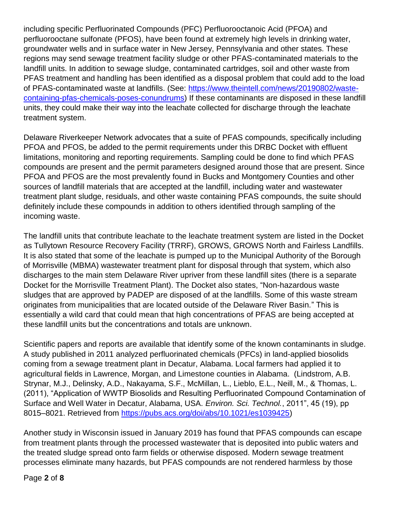including specific Perfluorinated Compounds (PFC) Perfluorooctanoic Acid (PFOA) and perfluorooctane sulfonate (PFOS), have been found at extremely high levels in drinking water, groundwater wells and in surface water in New Jersey, Pennsylvania and other states. These regions may send sewage treatment facility sludge or other PFAS-contaminated materials to the landfill units. In addition to sewage sludge, contaminated cartridges, soil and other waste from PFAS treatment and handling has been identified as a disposal problem that could add to the load of PFAS-contaminated waste at landfills. (See: [https://www.theintell.com/news/20190802/waste](https://www.theintell.com/news/20190802/waste-containing-pfas-chemicals-poses-conundrums)[containing-pfas-chemicals-poses-conundrums\)](https://www.theintell.com/news/20190802/waste-containing-pfas-chemicals-poses-conundrums) If these contaminants are disposed in these landfill units, they could make their way into the leachate collected for discharge through the leachate treatment system.

Delaware Riverkeeper Network advocates that a suite of PFAS compounds, specifically including PFOA and PFOS, be added to the permit requirements under this DRBC Docket with effluent limitations, monitoring and reporting requirements. Sampling could be done to find which PFAS compounds are present and the permit parameters designed around those that are present. Since PFOA and PFOS are the most prevalently found in Bucks and Montgomery Counties and other sources of landfill materials that are accepted at the landfill, including water and wastewater treatment plant sludge, residuals, and other waste containing PFAS compounds, the suite should definitely include these compounds in addition to others identified through sampling of the incoming waste.

The landfill units that contribute leachate to the leachate treatment system are listed in the Docket as Tullytown Resource Recovery Facility (TRRF), GROWS, GROWS North and Fairless Landfills. It is also stated that some of the leachate is pumped up to the Municipal Authority of the Borough of Morrisville (MBMA) wastewater treatment plant for disposal through that system, which also discharges to the main stem Delaware River upriver from these landfill sites (there is a separate Docket for the Morrisville Treatment Plant). The Docket also states, "Non-hazardous waste sludges that are approved by PADEP are disposed of at the landfills. Some of this waste stream originates from municipalities that are located outside of the Delaware River Basin." This is essentially a wild card that could mean that high concentrations of PFAS are being accepted at these landfill units but the concentrations and totals are unknown.

Scientific papers and reports are available that identify some of the known contaminants in sludge. A study published in 2011 analyzed perfluorinated chemicals (PFCs) in land-applied biosolids coming from a sewage treatment plant in Decatur, Alabama. Local farmers had applied it to agricultural fields in Lawrence, Morgan, and Limestone counties in Alabama. (Lindstrom, A.B. Strynar, M.J., Delinsky, A.D., Nakayama, S.F., McMillan, L., Lieblo, E.L., Neill, M., & Thomas, L. (2011), "Application of WWTP Biosolids and Resulting Perfluorinated Compound Contamination of Surface and Well Water in Decatur, Alabama, USA. *Environ. Sci. Technol.*, 2011", 45 (19), pp 8015–8021. Retrieved from [https://pubs.acs.org/doi/abs/10.1021/es1039425\)](https://pubs.acs.org/doi/abs/10.1021/es1039425)

Another study in Wisconsin issued in January 2019 has found that PFAS compounds can escape from treatment plants through the processed wastewater that is deposited into public waters and the treated sludge spread onto farm fields or otherwise disposed. Modern sewage treatment processes eliminate many hazards, but PFAS compounds are not rendered harmless by those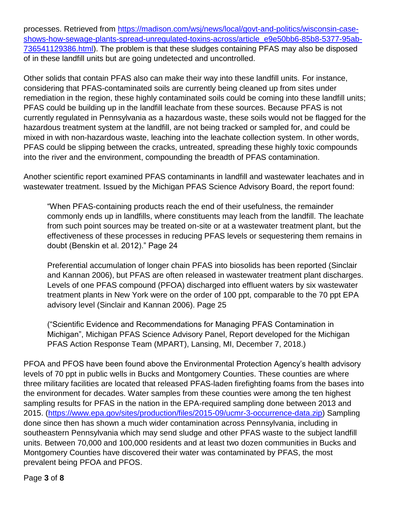processes. Retrieved from [https://madison.com/wsj/news/local/govt-and-politics/wisconsin-case](https://madison.com/wsj/news/local/govt-and-politics/wisconsin-case-shows-how-sewage-plants-spread-unregulated-toxins-across/article_e9e50bb6-85b8-5377-95ab-736541129386.html)[shows-how-sewage-plants-spread-unregulated-toxins-across/article\\_e9e50bb6-85b8-5377-95ab-](https://madison.com/wsj/news/local/govt-and-politics/wisconsin-case-shows-how-sewage-plants-spread-unregulated-toxins-across/article_e9e50bb6-85b8-5377-95ab-736541129386.html)[736541129386.html\)](https://madison.com/wsj/news/local/govt-and-politics/wisconsin-case-shows-how-sewage-plants-spread-unregulated-toxins-across/article_e9e50bb6-85b8-5377-95ab-736541129386.html). The problem is that these sludges containing PFAS may also be disposed of in these landfill units but are going undetected and uncontrolled.

Other solids that contain PFAS also can make their way into these landfill units. For instance, considering that PFAS-contaminated soils are currently being cleaned up from sites under remediation in the region, these highly contaminated soils could be coming into these landfill units; PFAS could be building up in the landfill leachate from these sources. Because PFAS is not currently regulated in Pennsylvania as a hazardous waste, these soils would not be flagged for the hazardous treatment system at the landfill, are not being tracked or sampled for, and could be mixed in with non-hazardous waste, leaching into the leachate collection system. In other words, PFAS could be slipping between the cracks, untreated, spreading these highly toxic compounds into the river and the environment, compounding the breadth of PFAS contamination.

Another scientific report examined PFAS contaminants in landfill and wastewater leachates and in wastewater treatment. Issued by the Michigan PFAS Science Advisory Board, the report found:

"When PFAS-containing products reach the end of their usefulness, the remainder commonly ends up in landfills, where constituents may leach from the landfill. The leachate from such point sources may be treated on-site or at a wastewater treatment plant, but the effectiveness of these processes in reducing PFAS levels or sequestering them remains in doubt (Benskin et al. 2012)." Page 24

Preferential accumulation of longer chain PFAS into biosolids has been reported (Sinclair and Kannan 2006), but PFAS are often released in wastewater treatment plant discharges. Levels of one PFAS compound (PFOA) discharged into effluent waters by six wastewater treatment plants in New York were on the order of 100 ppt, comparable to the 70 ppt EPA advisory level (Sinclair and Kannan 2006). Page 25

("Scientific Evidence and Recommendations for Managing PFAS Contamination in Michigan", Michigan PFAS Science Advisory Panel, Report developed for the Michigan PFAS Action Response Team (MPART), Lansing, MI, December 7, 2018.)

PFOA and PFOS have been found above the Environmental Protection Agency's health advisory levels of 70 ppt in public wells in Bucks and Montgomery Counties. These counties are where three military facilities are located that released PFAS-laden firefighting foams from the bases into the environment for decades. Water samples from these counties were among the ten highest sampling results for PFAS in the nation in the EPA-required sampling done between 2013 and 2015. [\(https://www.epa.gov/sites/production/files/2015-09/ucmr-3-occurrence-data.zip\)](https://www.epa.gov/sites/production/files/2015-09/ucmr-3-occurrence-data.zip) Sampling done since then has shown a much wider contamination across Pennsylvania, including in southeastern Pennsylvania which may send sludge and other PFAS waste to the subject landfill units. Between 70,000 and 100,000 residents and at least two dozen communities in Bucks and Montgomery Counties have discovered their water was contaminated by PFAS, the most prevalent being PFOA and PFOS.

Page **3** of **8**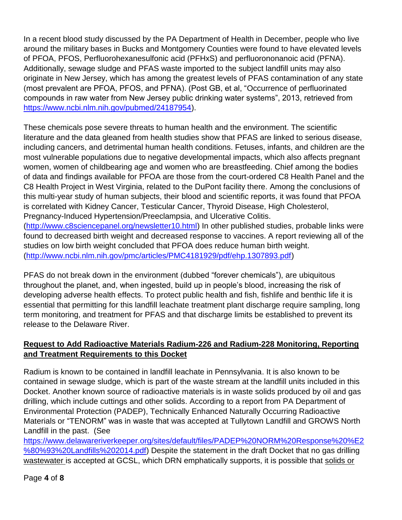In a recent blood study discussed by the PA Department of Health in December, people who live around the military bases in Bucks and Montgomery Counties were found to have elevated levels of PFOA, PFOS, Perfluorohexanesulfonic acid (PFHxS) and perfluorononanoic acid (PFNA). Additionally, sewage sludge and PFAS waste imported to the subject landfill units may also originate in New Jersey, which has among the greatest levels of PFAS contamination of any state (most prevalent are PFOA, PFOS, and PFNA). (Post GB, et al, "Occurrence of perfluorinated compounds in raw water from New Jersey public drinking water systems", 2013, retrieved from [https://www.ncbi.nlm.nih.gov/pubmed/24187954\)](https://www.ncbi.nlm.nih.gov/pubmed/24187954).

These chemicals pose severe threats to human health and the environment. The scientific literature and the data gleaned from health studies show that PFAS are linked to serious disease, including cancers, and detrimental human health conditions. Fetuses, infants, and children are the most vulnerable populations due to negative developmental impacts, which also affects pregnant women, women of childbearing age and women who are breastfeeding. Chief among the bodies of data and findings available for PFOA are those from the court-ordered C8 Health Panel and the C8 Health Project in West Virginia, related to the DuPont facility there. Among the conclusions of this multi-year study of human subjects, their blood and scientific reports, it was found that PFOA is correlated with Kidney Cancer, Testicular Cancer, Thyroid Disease, High Cholesterol, Pregnancy-Induced Hypertension/Preeclampsia, and Ulcerative Colitis. [\(http://www.c8sciencepanel.org/newsletter10.html\)](http://www.c8sciencepanel.org/newsletter10.html) In other published studies, probable links were found to decreased birth weight and decreased response to vaccines. A report reviewing all of the studies on low birth weight concluded that PFOA does reduce human birth weight.

[\(http://www.ncbi.nlm.nih.gov/pmc/articles/PMC4181929/pdf/ehp.1307893.pdf\)](http://www.ncbi.nlm.nih.gov/pmc/articles/PMC4181929/pdf/ehp.1307893.pdf)

PFAS do not break down in the environment (dubbed "forever chemicals"), are ubiquitous throughout the planet, and, when ingested, build up in people's blood, increasing the risk of developing adverse health effects. To protect public health and fish, fishlife and benthic life it is essential that permitting for this landfill leachate treatment plant discharge require sampling, long term monitoring, and treatment for PFAS and that discharge limits be established to prevent its release to the Delaware River.

# **Request to Add Radioactive Materials Radium-226 and Radium-228 Monitoring, Reporting and Treatment Requirements to this Docket**

Radium is known to be contained in landfill leachate in Pennsylvania. It is also known to be contained in sewage sludge, which is part of the waste stream at the landfill units included in this Docket. Another known source of radioactive materials is in waste solids produced by oil and gas drilling, which include cuttings and other solids. According to a report from PA Department of Environmental Protection (PADEP), Technically Enhanced Naturally Occurring Radioactive Materials or "TENORM" was in waste that was accepted at Tullytown Landfill and GROWS North Landfill in the past. (See

[https://www.delawareriverkeeper.org/sites/default/files/PADEP%20NORM%20Response%20%E2](https://www.delawareriverkeeper.org/sites/default/files/PADEP%20NORM%20Response%20%E2%80%93%20Landfills%202014.pdf) [%80%93%20Landfills%202014.pdf\)](https://www.delawareriverkeeper.org/sites/default/files/PADEP%20NORM%20Response%20%E2%80%93%20Landfills%202014.pdf) Despite the statement in the draft Docket that no gas drilling wastewater is accepted at GCSL, which DRN emphatically supports, it is possible that solids or

Page **4** of **8**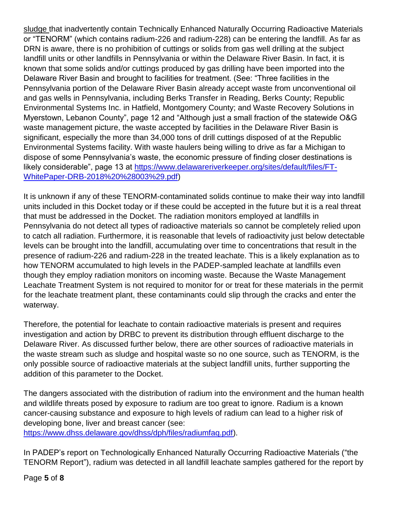sludge that inadvertently contain Technically Enhanced Naturally Occurring Radioactive Materials or "TENORM" (which contains radium-226 and radium-228) can be entering the landfill. As far as DRN is aware, there is no prohibition of cuttings or solids from gas well drilling at the subject landfill units or other landfills in Pennsylvania or within the Delaware River Basin. In fact, it is known that some solids and/or cuttings produced by gas drilling have been imported into the Delaware River Basin and brought to facilities for treatment. (See: "Three facilities in the Pennsylvania portion of the Delaware River Basin already accept waste from unconventional oil and gas wells in Pennsylvania, including Berks Transfer in Reading, Berks County; Republic Environmental Systems Inc. in Hatfield, Montgomery County; and Waste Recovery Solutions in Myerstown, Lebanon County", page 12 and "Although just a small fraction of the statewide O&G waste management picture, the waste accepted by facilities in the Delaware River Basin is significant, especially the more than 34,000 tons of drill cuttings disposed of at the Republic Environmental Systems facility. With waste haulers being willing to drive as far a Michigan to dispose of some Pennsylvania's waste, the economic pressure of finding closer destinations is likely considerable", page 13 at [https://www.delawareriverkeeper.org/sites/default/files/FT-](https://www.delawareriverkeeper.org/sites/default/files/FT-WhitePaper-DRB-2018%20%28003%29.pdf)[WhitePaper-DRB-2018%20%28003%29.pdf\)](https://www.delawareriverkeeper.org/sites/default/files/FT-WhitePaper-DRB-2018%20%28003%29.pdf)

It is unknown if any of these TENORM-contaminated solids continue to make their way into landfill units included in this Docket today or if these could be accepted in the future but it is a real threat that must be addressed in the Docket. The radiation monitors employed at landfills in Pennsylvania do not detect all types of radioactive materials so cannot be completely relied upon to catch all radiation. Furthermore, it is reasonable that levels of radioactivity just below detectable levels can be brought into the landfill, accumulating over time to concentrations that result in the presence of radium-226 and radium-228 in the treated leachate. This is a likely explanation as to how TENORM accumulated to high levels in the PADEP-sampled leachate at landfills even though they employ radiation monitors on incoming waste. Because the Waste Management Leachate Treatment System is not required to monitor for or treat for these materials in the permit for the leachate treatment plant, these contaminants could slip through the cracks and enter the waterway.

Therefore, the potential for leachate to contain radioactive materials is present and requires investigation and action by DRBC to prevent its distribution through effluent discharge to the Delaware River. As discussed further below, there are other sources of radioactive materials in the waste stream such as sludge and hospital waste so no one source, such as TENORM, is the only possible source of radioactive materials at the subject landfill units, further supporting the addition of this parameter to the Docket.

The dangers associated with the distribution of radium into the environment and the human health and wildlife threats posed by exposure to radium are too great to ignore. Radium is a known cancer-causing substance and exposure to high levels of radium can lead to a higher risk of developing bone, liver and breast cancer (see: [https://www.dhss.delaware.gov/dhss/dph/files/radiumfaq.pdf\)](https://www.dhss.delaware.gov/dhss/dph/files/radiumfaq.pdf).

In PADEP's report on Technologically Enhanced Naturally Occurring Radioactive Materials ("the TENORM Report"), radium was detected in all landfill leachate samples gathered for the report by

Page **5** of **8**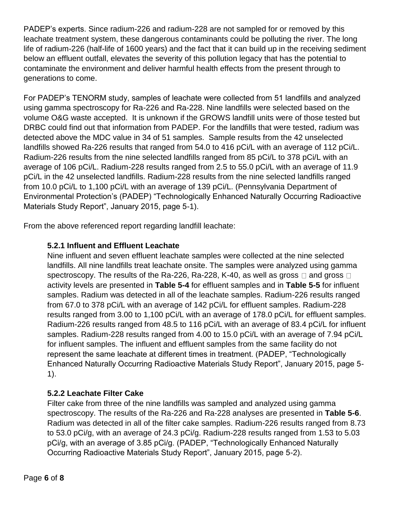PADEP's experts. Since radium-226 and radium-228 are not sampled for or removed by this leachate treatment system, these dangerous contaminants could be polluting the river. The long life of radium-226 (half-life of 1600 years) and the fact that it can build up in the receiving sediment below an effluent outfall, elevates the severity of this pollution legacy that has the potential to contaminate the environment and deliver harmful health effects from the present through to generations to come.

For PADEP's TENORM study, samples of leachate were collected from 51 landfills and analyzed using gamma spectroscopy for Ra-226 and Ra-228. Nine landfills were selected based on the volume O&G waste accepted. It is unknown if the GROWS landfill units were of those tested but DRBC could find out that information from PADEP. For the landfills that were tested, radium was detected above the MDC value in 34 of 51 samples. Sample results from the 42 unselected landfills showed Ra-226 results that ranged from 54.0 to 416 pCi/L with an average of 112 pCi/L. Radium-226 results from the nine selected landfills ranged from 85 pCi/L to 378 pCi/L with an average of 106 pCi/L. Radium-228 results ranged from 2.5 to 55.0 pCi/L with an average of 11.9 pCi/L in the 42 unselected landfills. Radium-228 results from the nine selected landfills ranged from 10.0 pCi/L to 1,100 pCi/L with an average of 139 pCi/L. (Pennsylvania Department of Environmental Protection's (PADEP) "Technologically Enhanced Naturally Occurring Radioactive Materials Study Report", January 2015, page 5-1).

From the above referenced report regarding landfill leachate:

### **5.2.1 Influent and Effluent Leachate**

Nine influent and seven effluent leachate samples were collected at the nine selected landfills. All nine landfills treat leachate onsite. The samples were analyzed using gamma spectroscopy. The results of the Ra-226, Ra-228, K-40, as well as gross  $\Box$  and gross  $\Box$ activity levels are presented in **Table 5-4** for effluent samples and in **Table 5-5** for influent samples. Radium was detected in all of the leachate samples. Radium-226 results ranged from 67.0 to 378 pCi/L with an average of 142 pCi/L for effluent samples. Radium-228 results ranged from 3.00 to 1,100 pCi/L with an average of 178.0 pCi/L for effluent samples. Radium-226 results ranged from 48.5 to 116 pCi/L with an average of 83.4 pCi/L for influent samples. Radium-228 results ranged from 4.00 to 15.0 pCi/L with an average of 7.94 pCi/L for influent samples. The influent and effluent samples from the same facility do not represent the same leachate at different times in treatment. (PADEP, "Technologically Enhanced Naturally Occurring Radioactive Materials Study Report", January 2015, page 5- 1).

### **5.2.2 Leachate Filter Cake**

Filter cake from three of the nine landfills was sampled and analyzed using gamma spectroscopy. The results of the Ra-226 and Ra-228 analyses are presented in **Table 5-6**. Radium was detected in all of the filter cake samples. Radium-226 results ranged from 8.73 to 53.0 pCi/g, with an average of 24.3 pCi/g. Radium-228 results ranged from 1.53 to 5.03 pCi/g, with an average of 3.85 pCi/g. (PADEP, "Technologically Enhanced Naturally Occurring Radioactive Materials Study Report", January 2015, page 5-2).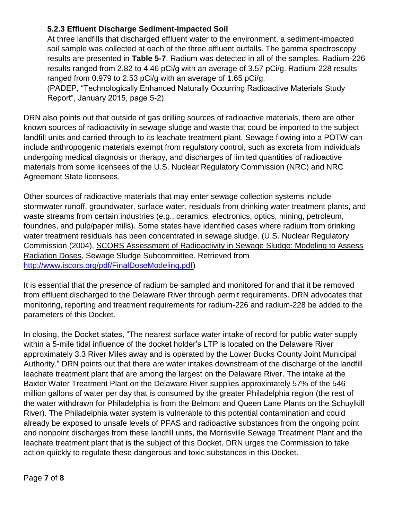#### **5.2.3 Effluent Discharge Sediment-Impacted Soil**

At three landfills that discharged effluent water to the environment, a sediment-impacted soil sample was collected at each of the three effluent outfalls. The gamma spectroscopy results are presented in **Table 5-7**. Radium was detected in all of the samples. Radium-226 results ranged from 2.82 to 4.46 pCi/g with an average of 3.57 pCi/g. Radium-228 results ranged from 0.979 to 2.53 pCi/g with an average of 1.65 pCi/g.

(PADEP, "Technologically Enhanced Naturally Occurring Radioactive Materials Study Report", January 2015, page 5-2).

DRN also points out that outside of gas drilling sources of radioactive materials, there are other known sources of radioactivity in sewage sludge and waste that could be imported to the subject landfill units and carried through to its leachate treatment plant. Sewage flowing into a POTW can include anthropogenic materials exempt from regulatory control, such as excreta from individuals undergoing medical diagnosis or therapy, and discharges of limited quantities of radioactive materials from some licensees of the U.S. Nuclear Regulatory Commission (NRC) and NRC Agreement State licensees.

Other sources of radioactive materials that may enter sewage collection systems include stormwater runoff, groundwater, surface water, residuals from drinking water treatment plants, and waste streams from certain industries (e.g., ceramics, electronics, optics, mining, petroleum, foundries, and pulp/paper mills). Some states have identified cases where radium from drinking water treatment residuals has been concentrated in sewage sludge. (U.S. Nuclear Regulatory Commission (2004), SCORS Assessment of Radioactivity in Sewage Sludge: Modeling to Assess Radiation Doses, Sewage Sludge Subcommittee. Retrieved from [http://www.iscors.org/pdf/FinalDoseModeling.pdf\)](http://www.iscors.org/pdf/FinalDoseModeling.pdf)

It is essential that the presence of radium be sampled and monitored for and that it be removed from effluent discharged to the Delaware River through permit requirements. DRN advocates that monitoring, reporting and treatment requirements for radium-226 and radium-228 be added to the parameters of this Docket.

In closing, the Docket states, "The nearest surface water intake of record for public water supply within a 5-mile tidal influence of the docket holder's LTP is located on the Delaware River approximately 3.3 River Miles away and is operated by the Lower Bucks County Joint Municipal Authority." DRN points out that there are water intakes downstream of the discharge of the landfill leachate treatment plant that are among the largest on the Delaware River. The intake at the Baxter Water Treatment Plant on the Delaware River supplies approximately 57% of the 546 million gallons of water per day that is consumed by the greater Philadelphia region (the rest of the water withdrawn for Philadelphia is from the Belmont and Queen Lane Plants on the Schuylkill River). The Philadelphia water system is vulnerable to this potential contamination and could already be exposed to unsafe levels of PFAS and radioactive substances from the ongoing point and nonpoint discharges from these landfill units, the Morrisville Sewage Treatment Plant and the leachate treatment plant that is the subject of this Docket. DRN urges the Commission to take action quickly to regulate these dangerous and toxic substances in this Docket.